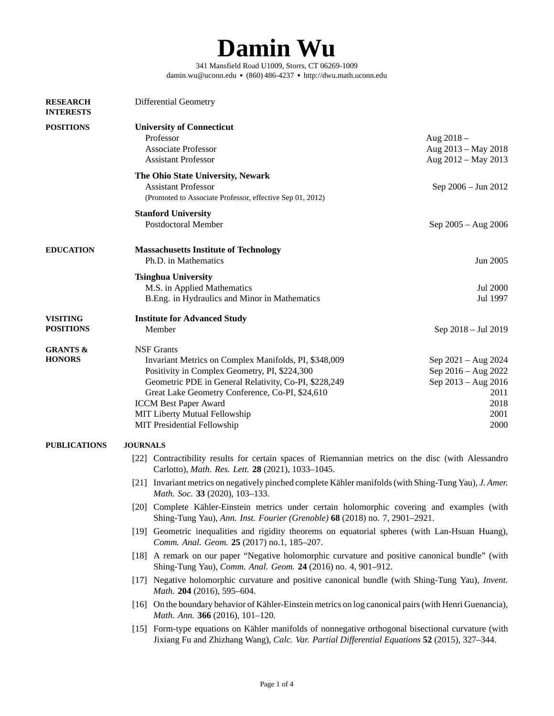## **Damin Wu**

[341 Mansfield Road U1009, Storrs, CT 06269-1009](https://dwu.math.uconn.edu) [damin.wu@uconn.edu](mailto:damin.wu@uconn.edu) ● (860) 486-4237 ● <http://dwu.math.uconn.edu>

<span id="page-0-0"></span>

| <b>RESEARCH</b><br><b>INTERESTS</b>  | Differential Geometry                                                                                                                                                                                                                                                                                                                   |                                                                                                   |  |
|--------------------------------------|-----------------------------------------------------------------------------------------------------------------------------------------------------------------------------------------------------------------------------------------------------------------------------------------------------------------------------------------|---------------------------------------------------------------------------------------------------|--|
| <b>POSITIONS</b>                     | <b>University of Connecticut</b><br>Professor<br><b>Associate Professor</b><br><b>Assistant Professor</b>                                                                                                                                                                                                                               | Aug 2018 -<br>Aug 2013 - May 2018<br>Aug 2012 - May 2013                                          |  |
|                                      | The Ohio State University, Newark<br><b>Assistant Professor</b><br>(Promoted to Associate Professor, effective Sep 01, 2012)                                                                                                                                                                                                            | Sep 2006 - Jun 2012                                                                               |  |
|                                      | <b>Stanford University</b><br>Postdoctoral Member                                                                                                                                                                                                                                                                                       | Sep 2005 - Aug 2006                                                                               |  |
| <b>EDUCATION</b>                     | <b>Massachusetts Institute of Technology</b><br>Ph.D. in Mathematics                                                                                                                                                                                                                                                                    | Jun 2005                                                                                          |  |
|                                      | <b>Tsinghua University</b><br>M.S. in Applied Mathematics<br>B.Eng. in Hydraulics and Minor in Mathematics                                                                                                                                                                                                                              | Jul 2000<br>Jul 1997                                                                              |  |
| <b>VISITING</b><br><b>POSITIONS</b>  | <b>Institute for Advanced Study</b><br>Member                                                                                                                                                                                                                                                                                           | Sep 2018 - Jul 2019                                                                               |  |
| <b>GRANTS &amp;</b><br><b>HONORS</b> | <b>NSF Grants</b><br>Invariant Metrics on Complex Manifolds, PI, \$348,009<br>Positivity in Complex Geometry, PI, \$224,300<br>Geometric PDE in General Relativity, Co-PI, \$228,249<br>Great Lake Geometry Conference, Co-PI, \$24,610<br><b>ICCM Best Paper Award</b><br>MIT Liberty Mutual Fellowship<br>MIT Presidential Fellowship | Sep 2021 - Aug 2024<br>Sep 2016 - Aug 2022<br>Sep 2013 - Aug 2016<br>2011<br>2018<br>2001<br>2000 |  |
| <b>PUBLICATIONS</b>                  | <b>JOURNALS</b>                                                                                                                                                                                                                                                                                                                         |                                                                                                   |  |
|                                      | [22] Contractibility results for certain spaces of Riemannian metrics on the disc (with Alessandro<br>Carlotto), Math. Res. Lett. 28 (2021), 1033-1045.                                                                                                                                                                                 |                                                                                                   |  |
|                                      | [21] Invariant metrics on negatively pinched complete Kähler manifolds (with Shing-Tung Yau), J. Amer.<br>Math. Soc. 33 (2020), 103-133.                                                                                                                                                                                                |                                                                                                   |  |
|                                      | [20] Complete Kähler-Einstein metrics under certain holomorphic covering and examples (with<br>Shing-Tung Yau), Ann. Inst. Fourier (Grenoble) 68 (2018) no. 7, 2901-2921.                                                                                                                                                               |                                                                                                   |  |
|                                      | [19] Geometric inequalities and rigidity theorems on equatorial spheres (with Lan-Hsuan Huang),<br>Comm. Anal. Geom. 25 (2017) no.1, 185-207.                                                                                                                                                                                           |                                                                                                   |  |
|                                      | [18] A remark on our paper "Negative holomorphic curvature and positive canonical bundle" (with<br>Shing-Tung Yau), Comm. Anal. Geom. 24 (2016) no. 4, 901-912.                                                                                                                                                                         |                                                                                                   |  |
|                                      | [17] Negative holomorphic curvature and positive canonical bundle (with Shing-Tung Yau), Invent.<br>Math. 204 (2016), 595-604.                                                                                                                                                                                                          |                                                                                                   |  |
|                                      | [16] On the boundary behavior of Kähler-Einstein metrics on log canonical pairs (with Henri Guenancia),<br>Math. Ann. 366 (2016), 101-120.                                                                                                                                                                                              |                                                                                                   |  |
|                                      | [15] Form-type equations on Kähler manifolds of nonnegative orthogonal bisectional curvature (with<br>Jixiang Fu and Zhizhang Wang), Calc. Var. Partial Differential Equations 52 (2015), 327-344.                                                                                                                                      |                                                                                                   |  |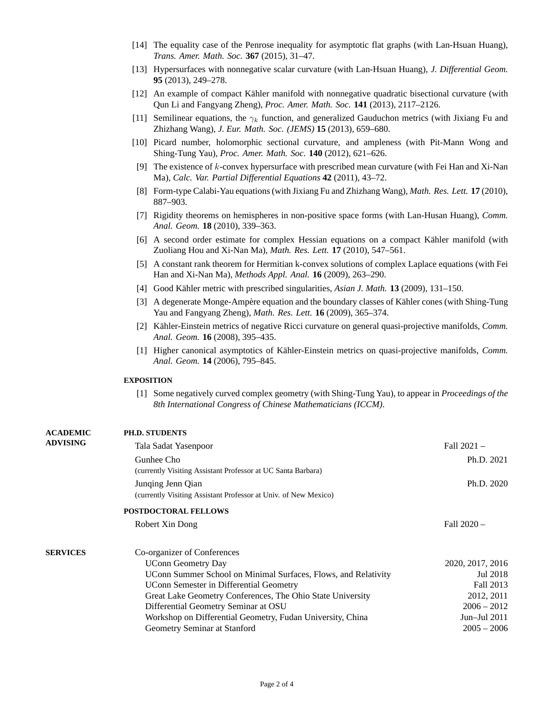- [14] The equality case of the Penrose inequality for asymptotic flat graphs (with Lan-Hsuan Huang), *Trans. Amer. Math. Soc.* **367** (2015), 31–47.
- [13] Hypersurfaces with nonnegative scalar curvature (with Lan-Hsuan Huang), *J. Differential Geom.* **95** (2013), 249–278.
- [12] An example of compact Kähler manifold with nonnegative quadratic bisectional curvature (with Qun Li and Fangyang Zheng), *Proc. Amer. Math. Soc.* **141** (2013), 2117–2126.
- [11] Semilinear equations, the *γ<sup>k</sup>* function, and generalized Gauduchon metrics (with Jixiang Fu and Zhizhang Wang), *J. Eur. Math. Soc. (JEMS)* **15** (2013), 659–680.
- [10] Picard number, holomorphic sectional curvature, and ampleness (with Pit-Mann Wong and Shing-Tung Yau), *Proc. Amer. Math. Soc.* **140** (2012), 621–626.
- [9] The existence of *k*-convex hypersurface with prescribed mean curvature (with Fei Han and Xi-Nan Ma), *Calc. Var. Partial Differential Equations* **42** (2011), 43–72.
- [8] Form-type Calabi-Yau equations (with Jixiang Fu and Zhizhang Wang), *Math. Res. Lett.* **17** (2010), 887–903.
- [7] Rigidity theorems on hemispheres in non-positive space forms (with Lan-Husan Huang), *Comm. Anal. Geom.* **18** (2010), 339–363.
- [6] A second order estimate for complex Hessian equations on a compact Kähler manifold (with Zuoliang Hou and Xi-Nan Ma), *Math. Res. Lett.* **17** (2010), 547–561.
- [5] A constant rank theorem for Hermitian k-convex solutions of complex Laplace equations (with Fei Han and Xi-Nan Ma), *Methods Appl. Anal.* **16** (2009), 263–290.
- [4] Good Kähler metric with prescribed singularities, *Asian J. Math.* **13** (2009), 131–150.
- [3] A degenerate Monge-Ampère equation and the boundary classes of Kähler cones (with Shing-Tung Yau and Fangyang Zheng), *Math. Res. Lett.* **16** (2009), 365–374.
- [2] Kähler-Einstein metrics of negative Ricci curvature on general quasi-projective manifolds, *Comm. Anal. Geom.* **16** (2008), 395–435.
- [1] Higher canonical asymptotics of Kähler-Einstein metrics on quasi-projective manifolds, *Comm. Anal. Geom.* **14** (2006), 795–845.

## **EXPOSITION**

**PH.D. STUDENTS**

**ACADEMIC**

[1] Some negatively curved complex geometry (with Shing-Tung Yau), to appear in *Proceedings of the 8th International Congress of Chinese Mathematicians (ICCM)*.

| <b>ADVISING</b><br>Fall $2021 -$<br>Tala Sadat Yasenpoor<br>Gunhee Cho<br>Ph.D. 2021<br>(currently Visiting Assistant Professor at UC Santa Barbara)<br>Ph.D. 2020<br>Junqing Jenn Qian<br>(currently Visiting Assistant Professor at Univ. of New Mexico)<br><b>POSTDOCTORAL FELLOWS</b><br>Fall $2020 -$<br>Robert Xin Dong<br>Co-organizer of Conferences<br>2020, 2017, 2016<br><b>UConn Geometry Day</b><br>Jul 2018<br>UConn Summer School on Minimal Surfaces, Flows, and Relativity<br>Fall 2013<br>UConn Semester in Differential Geometry<br>Great Lake Geometry Conferences, The Ohio State University<br>2012, 2011<br>Differential Geometry Seminar at OSU<br>$2006 - 2012$<br>Jun-Jul 2011<br>Workshop on Differential Geometry, Fudan University, China<br>Geometry Seminar at Stanford<br>$2005 - 2006$ | ледицине        | 11.D. JI UDENIJ |  |
|-------------------------------------------------------------------------------------------------------------------------------------------------------------------------------------------------------------------------------------------------------------------------------------------------------------------------------------------------------------------------------------------------------------------------------------------------------------------------------------------------------------------------------------------------------------------------------------------------------------------------------------------------------------------------------------------------------------------------------------------------------------------------------------------------------------------------|-----------------|-----------------|--|
|                                                                                                                                                                                                                                                                                                                                                                                                                                                                                                                                                                                                                                                                                                                                                                                                                         |                 |                 |  |
|                                                                                                                                                                                                                                                                                                                                                                                                                                                                                                                                                                                                                                                                                                                                                                                                                         |                 |                 |  |
|                                                                                                                                                                                                                                                                                                                                                                                                                                                                                                                                                                                                                                                                                                                                                                                                                         |                 |                 |  |
|                                                                                                                                                                                                                                                                                                                                                                                                                                                                                                                                                                                                                                                                                                                                                                                                                         |                 |                 |  |
|                                                                                                                                                                                                                                                                                                                                                                                                                                                                                                                                                                                                                                                                                                                                                                                                                         |                 |                 |  |
|                                                                                                                                                                                                                                                                                                                                                                                                                                                                                                                                                                                                                                                                                                                                                                                                                         |                 |                 |  |
|                                                                                                                                                                                                                                                                                                                                                                                                                                                                                                                                                                                                                                                                                                                                                                                                                         |                 |                 |  |
|                                                                                                                                                                                                                                                                                                                                                                                                                                                                                                                                                                                                                                                                                                                                                                                                                         | <b>SERVICES</b> |                 |  |
|                                                                                                                                                                                                                                                                                                                                                                                                                                                                                                                                                                                                                                                                                                                                                                                                                         |                 |                 |  |
|                                                                                                                                                                                                                                                                                                                                                                                                                                                                                                                                                                                                                                                                                                                                                                                                                         |                 |                 |  |
|                                                                                                                                                                                                                                                                                                                                                                                                                                                                                                                                                                                                                                                                                                                                                                                                                         |                 |                 |  |
|                                                                                                                                                                                                                                                                                                                                                                                                                                                                                                                                                                                                                                                                                                                                                                                                                         |                 |                 |  |
|                                                                                                                                                                                                                                                                                                                                                                                                                                                                                                                                                                                                                                                                                                                                                                                                                         |                 |                 |  |
|                                                                                                                                                                                                                                                                                                                                                                                                                                                                                                                                                                                                                                                                                                                                                                                                                         |                 |                 |  |
|                                                                                                                                                                                                                                                                                                                                                                                                                                                                                                                                                                                                                                                                                                                                                                                                                         |                 |                 |  |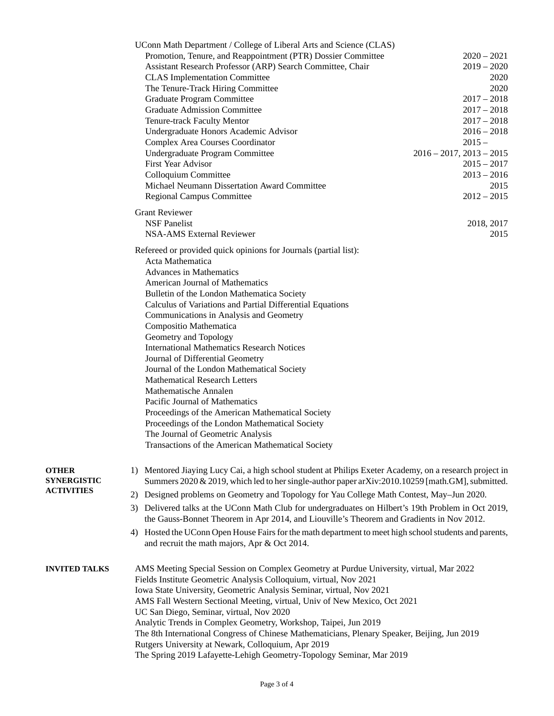|                                    | UConn Math Department / College of Liberal Arts and Science (CLAS)<br>Promotion, Tenure, and Reappointment (PTR) Dossier Committee                                                                                                                                                                                                                                                                                                                                                                                                                                                     | $2020 - 2021$                 |  |  |
|------------------------------------|----------------------------------------------------------------------------------------------------------------------------------------------------------------------------------------------------------------------------------------------------------------------------------------------------------------------------------------------------------------------------------------------------------------------------------------------------------------------------------------------------------------------------------------------------------------------------------------|-------------------------------|--|--|
|                                    | Assistant Research Professor (ARP) Search Committee, Chair<br><b>CLAS Implementation Committee</b>                                                                                                                                                                                                                                                                                                                                                                                                                                                                                     | $2019 - 2020$<br>2020         |  |  |
|                                    | The Tenure-Track Hiring Committee                                                                                                                                                                                                                                                                                                                                                                                                                                                                                                                                                      | 2020                          |  |  |
|                                    | Graduate Program Committee                                                                                                                                                                                                                                                                                                                                                                                                                                                                                                                                                             | $2017 - 2018$                 |  |  |
|                                    | <b>Graduate Admission Committee</b>                                                                                                                                                                                                                                                                                                                                                                                                                                                                                                                                                    | $2017 - 2018$                 |  |  |
|                                    | Tenure-track Faculty Mentor                                                                                                                                                                                                                                                                                                                                                                                                                                                                                                                                                            | $2017 - 2018$                 |  |  |
|                                    | Undergraduate Honors Academic Advisor                                                                                                                                                                                                                                                                                                                                                                                                                                                                                                                                                  | $2016 - 2018$                 |  |  |
|                                    | Complex Area Courses Coordinator                                                                                                                                                                                                                                                                                                                                                                                                                                                                                                                                                       | $2015 -$                      |  |  |
|                                    | Undergraduate Program Committee                                                                                                                                                                                                                                                                                                                                                                                                                                                                                                                                                        | $2016 - 2017$ , $2013 - 2015$ |  |  |
|                                    | First Year Advisor                                                                                                                                                                                                                                                                                                                                                                                                                                                                                                                                                                     | $2015 - 2017$                 |  |  |
|                                    | Colloquium Committee                                                                                                                                                                                                                                                                                                                                                                                                                                                                                                                                                                   | $2013 - 2016$                 |  |  |
|                                    | Michael Neumann Dissertation Award Committee                                                                                                                                                                                                                                                                                                                                                                                                                                                                                                                                           | 2015                          |  |  |
|                                    | Regional Campus Committee                                                                                                                                                                                                                                                                                                                                                                                                                                                                                                                                                              | $2012 - 2015$                 |  |  |
|                                    | <b>Grant Reviewer</b>                                                                                                                                                                                                                                                                                                                                                                                                                                                                                                                                                                  |                               |  |  |
|                                    | <b>NSF Panelist</b>                                                                                                                                                                                                                                                                                                                                                                                                                                                                                                                                                                    | 2018, 2017                    |  |  |
|                                    | <b>NSA-AMS External Reviewer</b>                                                                                                                                                                                                                                                                                                                                                                                                                                                                                                                                                       | 2015                          |  |  |
|                                    | Refereed or provided quick opinions for Journals (partial list):<br>Acta Mathematica                                                                                                                                                                                                                                                                                                                                                                                                                                                                                                   |                               |  |  |
|                                    | <b>Advances in Mathematics</b>                                                                                                                                                                                                                                                                                                                                                                                                                                                                                                                                                         |                               |  |  |
|                                    | American Journal of Mathematics                                                                                                                                                                                                                                                                                                                                                                                                                                                                                                                                                        |                               |  |  |
|                                    | Bulletin of the London Mathematica Society                                                                                                                                                                                                                                                                                                                                                                                                                                                                                                                                             |                               |  |  |
|                                    | Calculus of Variations and Partial Differential Equations                                                                                                                                                                                                                                                                                                                                                                                                                                                                                                                              |                               |  |  |
|                                    | Communications in Analysis and Geometry                                                                                                                                                                                                                                                                                                                                                                                                                                                                                                                                                |                               |  |  |
|                                    | Compositio Mathematica                                                                                                                                                                                                                                                                                                                                                                                                                                                                                                                                                                 |                               |  |  |
|                                    | Geometry and Topology                                                                                                                                                                                                                                                                                                                                                                                                                                                                                                                                                                  |                               |  |  |
|                                    | <b>International Mathematics Research Notices</b>                                                                                                                                                                                                                                                                                                                                                                                                                                                                                                                                      |                               |  |  |
|                                    | Journal of Differential Geometry                                                                                                                                                                                                                                                                                                                                                                                                                                                                                                                                                       |                               |  |  |
|                                    | Journal of the London Mathematical Society<br><b>Mathematical Research Letters</b>                                                                                                                                                                                                                                                                                                                                                                                                                                                                                                     |                               |  |  |
|                                    | Mathematische Annalen                                                                                                                                                                                                                                                                                                                                                                                                                                                                                                                                                                  |                               |  |  |
|                                    | Pacific Journal of Mathematics                                                                                                                                                                                                                                                                                                                                                                                                                                                                                                                                                         |                               |  |  |
|                                    | Proceedings of the American Mathematical Society                                                                                                                                                                                                                                                                                                                                                                                                                                                                                                                                       |                               |  |  |
|                                    | Proceedings of the London Mathematical Society                                                                                                                                                                                                                                                                                                                                                                                                                                                                                                                                         |                               |  |  |
|                                    | The Journal of Geometric Analysis                                                                                                                                                                                                                                                                                                                                                                                                                                                                                                                                                      |                               |  |  |
|                                    | Transactions of the American Mathematical Society                                                                                                                                                                                                                                                                                                                                                                                                                                                                                                                                      |                               |  |  |
|                                    |                                                                                                                                                                                                                                                                                                                                                                                                                                                                                                                                                                                        |                               |  |  |
| <b>OTHER</b><br><b>SYNERGISTIC</b> | 1) Mentored Jiaying Lucy Cai, a high school student at Philips Exeter Academy, on a research project in<br>Summers 2020 & 2019, which led to her single-author paper arXiv:2010.10259 [math.GM], submitted.                                                                                                                                                                                                                                                                                                                                                                            |                               |  |  |
| <b>ACTIVITIES</b>                  | 2) Designed problems on Geometry and Topology for Yau College Math Contest, May-Jun 2020.                                                                                                                                                                                                                                                                                                                                                                                                                                                                                              |                               |  |  |
|                                    | 3) Delivered talks at the UConn Math Club for undergraduates on Hilbert's 19th Problem in Oct 2019,<br>the Gauss-Bonnet Theorem in Apr 2014, and Liouville's Theorem and Gradients in Nov 2012.                                                                                                                                                                                                                                                                                                                                                                                        |                               |  |  |
|                                    | Hosted the UConn Open House Fairs for the math department to meet high school students and parents,<br>4)<br>and recruit the math majors, Apr & Oct 2014.                                                                                                                                                                                                                                                                                                                                                                                                                              |                               |  |  |
| <b>INVITED TALKS</b>               | AMS Meeting Special Session on Complex Geometry at Purdue University, virtual, Mar 2022<br>Fields Institute Geometric Analysis Colloquium, virtual, Nov 2021<br>Iowa State University, Geometric Analysis Seminar, virtual, Nov 2021<br>AMS Fall Western Sectional Meeting, virtual, Univ of New Mexico, Oct 2021<br>UC San Diego, Seminar, virtual, Nov 2020<br>Analytic Trends in Complex Geometry, Workshop, Taipei, Jun 2019<br>The 8th International Congress of Chinese Mathematicians, Plenary Speaker, Beijing, Jun 2019<br>Rutgers University at Newark, Colloquium, Apr 2019 |                               |  |  |
|                                    | The Spring 2019 Lafayette-Lehigh Geometry-Topology Seminar, Mar 2019                                                                                                                                                                                                                                                                                                                                                                                                                                                                                                                   |                               |  |  |